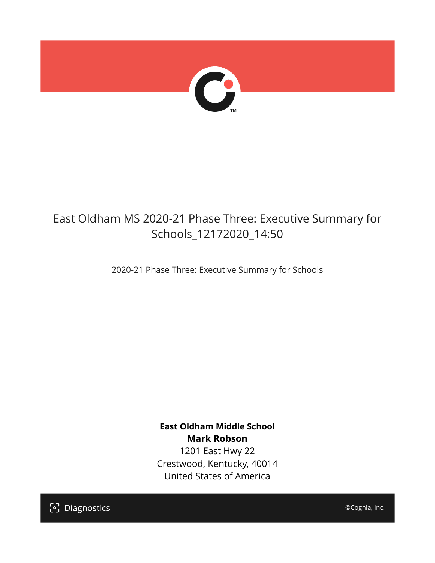

## East Oldham MS 2020-21 Phase Three: Executive Summary for Schools\_12172020\_14:50

2020-21 Phase Three: Executive Summary for Schools

**East Oldham Middle School Mark Robson** 1201 East Hwy 22 Crestwood, Kentucky, 40014 United States of America

[၁] Diagnostics

©Cognia, Inc.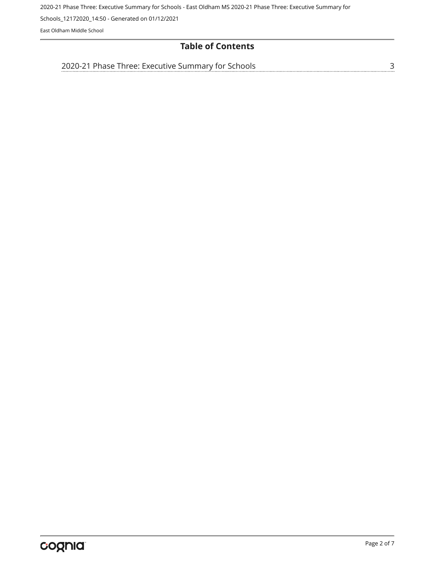Schools\_12172020\_14:50 - Generated on 01/12/2021

East Oldham Middle School

## **Table of Contents**

[3](#page-2-0) [2020-21 Phase Three: Executive Summary for Schools](#page-2-0)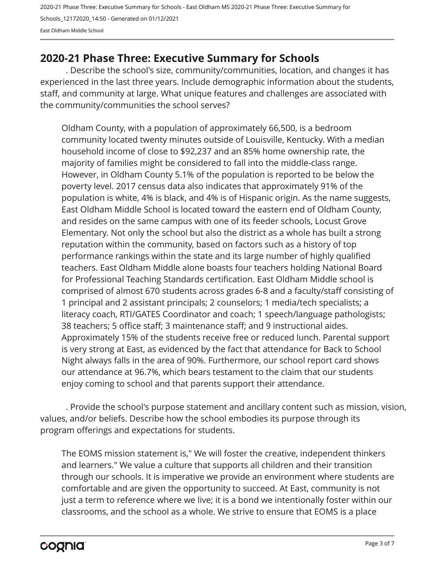2020-21 Phase Three: Executive Summary for Schools - East Oldham MS 2020-21 Phase Three: Executive Summary for Schools\_12172020\_14:50 - Generated on 01/12/2021 East Oldham Middle School

## <span id="page-2-0"></span>**2020-21 Phase Three: Executive Summary for Schools**

. Describe the school's size, community/communities, location, and changes it has experienced in the last three years. Include demographic information about the students, staff, and community at large. What unique features and challenges are associated with the community/communities the school serves?

Oldham County, with a population of approximately 66,500, is a bedroom community located twenty minutes outside of Louisville, Kentucky. With a median household income of close to \$92,237 and an 85% home ownership rate, the majority of families might be considered to fall into the middle-class range. However, in Oldham County 5.1% of the population is reported to be below the poverty level. 2017 census data also indicates that approximately 91% of the population is white, 4% is black, and 4% is of Hispanic origin. As the name suggests, East Oldham Middle School is located toward the eastern end of Oldham County, and resides on the same campus with one of its feeder schools, Locust Grove Elementary. Not only the school but also the district as a whole has built a strong reputation within the community, based on factors such as a history of top performance rankings within the state and its large number of highly qualified teachers. East Oldham Middle alone boasts four teachers holding National Board for Professional Teaching Standards certification. East Oldham Middle school is comprised of almost 670 students across grades 6-8 and a faculty/staff consisting of 1 principal and 2 assistant principals; 2 counselors; 1 media/tech specialists; a literacy coach, RTI/GATES Coordinator and coach; 1 speech/language pathologists; 38 teachers; 5 office staff; 3 maintenance staff; and 9 instructional aides. Approximately 15% of the students receive free or reduced lunch. Parental support is very strong at East, as evidenced by the fact that attendance for Back to School Night always falls in the area of 90%. Furthermore, our school report card shows our attendance at 96.7%, which bears testament to the claim that our students enjoy coming to school and that parents support their attendance.

. Provide the school's purpose statement and ancillary content such as mission, vision, values, and/or beliefs. Describe how the school embodies its purpose through its program offerings and expectations for students.

The EOMS mission statement is," We will foster the creative, independent thinkers and learners." We value a culture that supports all children and their transition through our schools. It is imperative we provide an environment where students are comfortable and are given the opportunity to succeed. At East, community is not just a term to reference where we live; it is a bond we intentionally foster within our classrooms, and the school as a whole. We strive to ensure that EOMS is a place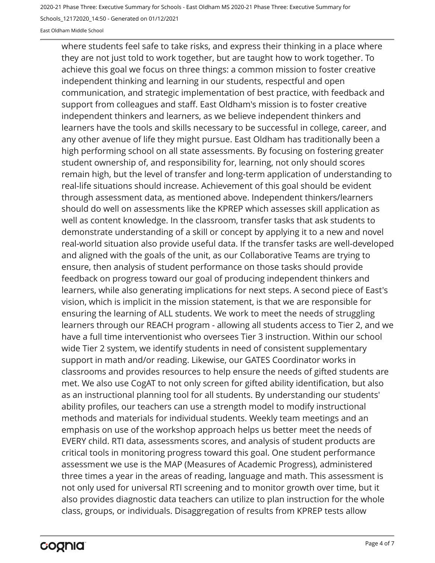Schools\_12172020\_14:50 - Generated on 01/12/2021

East Oldham Middle School

where students feel safe to take risks, and express their thinking in a place where they are not just told to work together, but are taught how to work together. To achieve this goal we focus on three things: a common mission to foster creative independent thinking and learning in our students, respectful and open communication, and strategic implementation of best practice, with feedback and support from colleagues and staff. East Oldham's mission is to foster creative independent thinkers and learners, as we believe independent thinkers and learners have the tools and skills necessary to be successful in college, career, and any other avenue of life they might pursue. East Oldham has traditionally been a high performing school on all state assessments. By focusing on fostering greater student ownership of, and responsibility for, learning, not only should scores remain high, but the level of transfer and long-term application of understanding to real-life situations should increase. Achievement of this goal should be evident through assessment data, as mentioned above. Independent thinkers/learners should do well on assessments like the KPREP which assesses skill application as well as content knowledge. In the classroom, transfer tasks that ask students to demonstrate understanding of a skill or concept by applying it to a new and novel real-world situation also provide useful data. If the transfer tasks are well-developed and aligned with the goals of the unit, as our Collaborative Teams are trying to ensure, then analysis of student performance on those tasks should provide feedback on progress toward our goal of producing independent thinkers and learners, while also generating implications for next steps. A second piece of East's vision, which is implicit in the mission statement, is that we are responsible for ensuring the learning of ALL students. We work to meet the needs of struggling learners through our REACH program - allowing all students access to Tier 2, and we have a full time interventionist who oversees Tier 3 instruction. Within our school wide Tier 2 system, we identify students in need of consistent supplementary support in math and/or reading. Likewise, our GATES Coordinator works in classrooms and provides resources to help ensure the needs of gifted students are met. We also use CogAT to not only screen for gifted ability identification, but also as an instructional planning tool for all students. By understanding our students' ability profiles, our teachers can use a strength model to modify instructional methods and materials for individual students. Weekly team meetings and an emphasis on use of the workshop approach helps us better meet the needs of EVERY child. RTI data, assessments scores, and analysis of student products are critical tools in monitoring progress toward this goal. One student performance assessment we use is the MAP (Measures of Academic Progress), administered three times a year in the areas of reading, language and math. This assessment is not only used for universal RTI screening and to monitor growth over time, but it also provides diagnostic data teachers can utilize to plan instruction for the whole class, groups, or individuals. Disaggregation of results from KPREP tests allow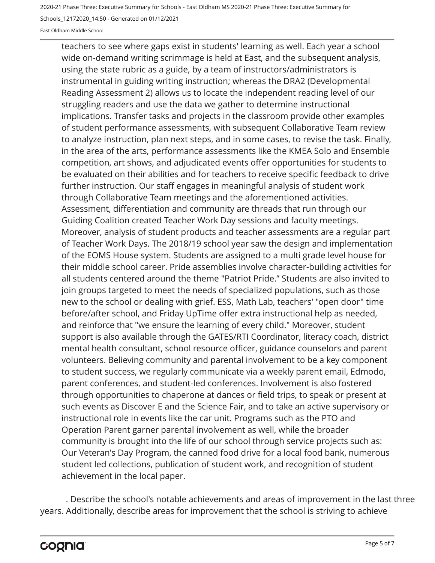Schools\_12172020\_14:50 - Generated on 01/12/2021

East Oldham Middle School

teachers to see where gaps exist in students' learning as well. Each year a school wide on-demand writing scrimmage is held at East, and the subsequent analysis, using the state rubric as a guide, by a team of instructors/administrators is instrumental in guiding writing instruction; whereas the DRA2 (Developmental Reading Assessment 2) allows us to locate the independent reading level of our struggling readers and use the data we gather to determine instructional implications. Transfer tasks and projects in the classroom provide other examples of student performance assessments, with subsequent Collaborative Team review to analyze instruction, plan next steps, and in some cases, to revise the task. Finally, in the area of the arts, performance assessments like the KMEA Solo and Ensemble competition, art shows, and adjudicated events offer opportunities for students to be evaluated on their abilities and for teachers to receive specific feedback to drive further instruction. Our staff engages in meaningful analysis of student work through Collaborative Team meetings and the aforementioned activities. Assessment, differentiation and community are threads that run through our Guiding Coalition created Teacher Work Day sessions and faculty meetings. Moreover, analysis of student products and teacher assessments are a regular part of Teacher Work Days. The 2018/19 school year saw the design and implementation of the EOMS House system. Students are assigned to a multi grade level house for their middle school career. Pride assemblies involve character-building activities for all students centered around the theme "Patriot Pride." Students are also invited to join groups targeted to meet the needs of specialized populations, such as those new to the school or dealing with grief. ESS, Math Lab, teachers' "open door" time before/after school, and Friday UpTime offer extra instructional help as needed, and reinforce that "we ensure the learning of every child." Moreover, student support is also available through the GATES/RTI Coordinator, literacy coach, district mental health consultant, school resource officer, guidance counselors and parent volunteers. Believing community and parental involvement to be a key component to student success, we regularly communicate via a weekly parent email, Edmodo, parent conferences, and student-led conferences. Involvement is also fostered through opportunities to chaperone at dances or field trips, to speak or present at such events as Discover E and the Science Fair, and to take an active supervisory or instructional role in events like the car unit. Programs such as the PTO and Operation Parent garner parental involvement as well, while the broader community is brought into the life of our school through service projects such as: Our Veteran's Day Program, the canned food drive for a local food bank, numerous student led collections, publication of student work, and recognition of student achievement in the local paper.

. Describe the school's notable achievements and areas of improvement in the last three years. Additionally, describe areas for improvement that the school is striving to achieve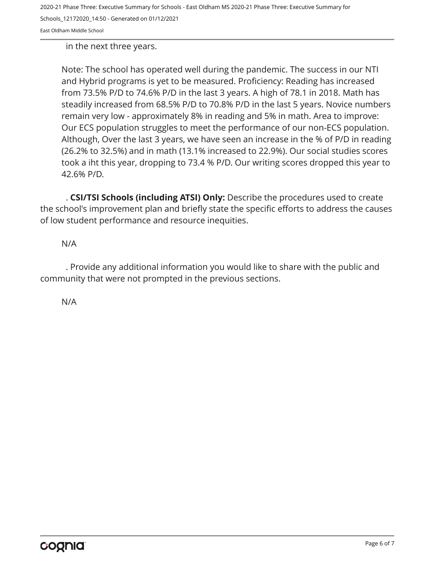Schools\_12172020\_14:50 - Generated on 01/12/2021

East Oldham Middle School

in the next three years.

Note: The school has operated well during the pandemic. The success in our NTI and Hybrid programs is yet to be measured. Proficiency: Reading has increased from 73.5% P/D to 74.6% P/D in the last 3 years. A high of 78.1 in 2018. Math has steadily increased from 68.5% P/D to 70.8% P/D in the last 5 years. Novice numbers remain very low - approximately 8% in reading and 5% in math. Area to improve: Our ECS population struggles to meet the performance of our non-ECS population. Although, Over the last 3 years, we have seen an increase in the % of P/D in reading (26.2% to 32.5%) and in math (13.1% increased to 22.9%). Our social studies scores took a iht this year, dropping to 73.4 % P/D. Our writing scores dropped this year to 42.6% P/D.

. **CSI/TSI Schools (including ATSI) Only:** Describe the procedures used to create the school's improvement plan and briefly state the specific efforts to address the causes of low student performance and resource inequities.

N/A

. Provide any additional information you would like to share with the public and community that were not prompted in the previous sections.

N/A